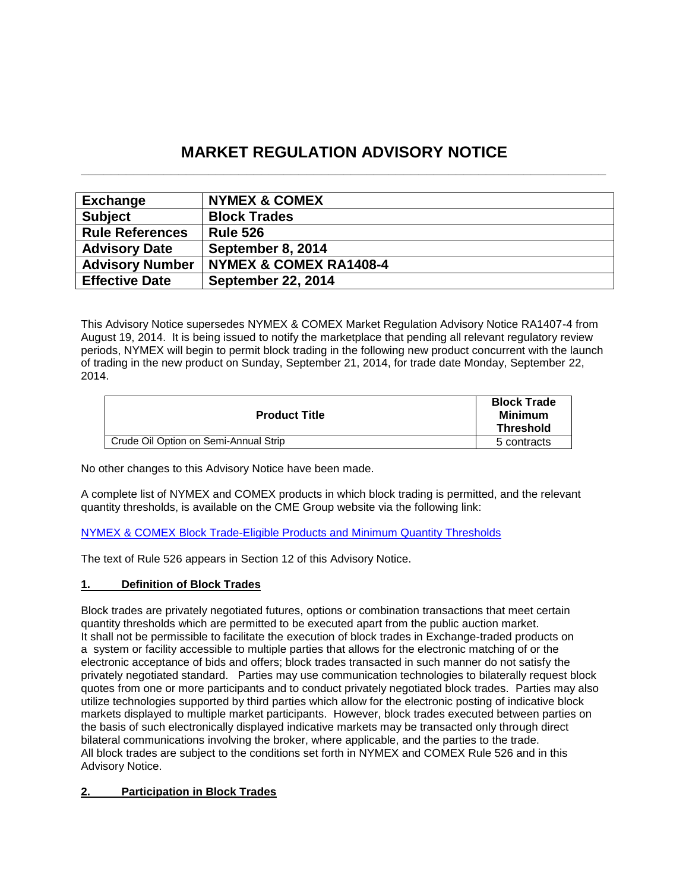# **MARKET REGULATION ADVISORY NOTICE \_\_\_\_\_\_\_\_\_\_\_\_\_\_\_\_\_\_\_\_\_\_\_\_\_\_\_\_\_\_\_\_\_\_\_\_\_\_\_\_\_\_\_\_\_\_\_\_\_\_\_\_\_\_\_\_\_\_\_\_\_\_\_\_\_\_\_\_\_\_**

| <b>Exchange</b>        | <b>NYMEX &amp; COMEX</b>  |
|------------------------|---------------------------|
| <b>Subject</b>         | <b>Block Trades</b>       |
| <b>Rule References</b> | <b>Rule 526</b>           |
| <b>Advisory Date</b>   | September 8, 2014         |
| <b>Advisory Number</b> | NYMEX & COMEX RA1408-4    |
| <b>Effective Date</b>  | <b>September 22, 2014</b> |

This Advisory Notice supersedes NYMEX & COMEX Market Regulation Advisory Notice RA1407-4 from August 19, 2014. It is being issued to notify the marketplace that pending all relevant regulatory review periods, NYMEX will begin to permit block trading in the following new product concurrent with the launch of trading in the new product on Sunday, September 21, 2014, for trade date Monday, September 22, 2014.

| <b>Product Title</b>                  | <b>Block Trade</b><br>Minimum<br><b>Threshold</b> |
|---------------------------------------|---------------------------------------------------|
| Crude Oil Option on Semi-Annual Strip | 5 contracts                                       |

No other changes to this Advisory Notice have been made.

A complete list of NYMEX and COMEX products in which block trading is permitted, and the relevant quantity thresholds, is available on the CME Group website via the following link:

[NYMEX & COMEX Block Trade-Eligible Products and Minimum Quantity Thresholds](http://www.cmegroup.com/clearing/trading-practices/NYMEX-COMEXblock-trade.html)

The text of Rule 526 appears in Section 12 of this Advisory Notice.

# **1. Definition of Block Trades**

Block trades are privately negotiated futures, options or combination transactions that meet certain quantity thresholds which are permitted to be executed apart from the public auction market. It shall not be permissible to facilitate the execution of block trades in Exchange-traded products on a system or facility accessible to multiple parties that allows for the electronic matching of or the electronic acceptance of bids and offers; block trades transacted in such manner do not satisfy the privately negotiated standard. Parties may use communication technologies to bilaterally request block quotes from one or more participants and to conduct privately negotiated block trades. Parties may also utilize technologies supported by third parties which allow for the electronic posting of indicative block markets displayed to multiple market participants. However, block trades executed between parties on the basis of such electronically displayed indicative markets may be transacted only through direct bilateral communications involving the broker, where applicable, and the parties to the trade. All block trades are subject to the conditions set forth in NYMEX and COMEX Rule 526 and in this Advisory Notice.

# **2. Participation in Block Trades**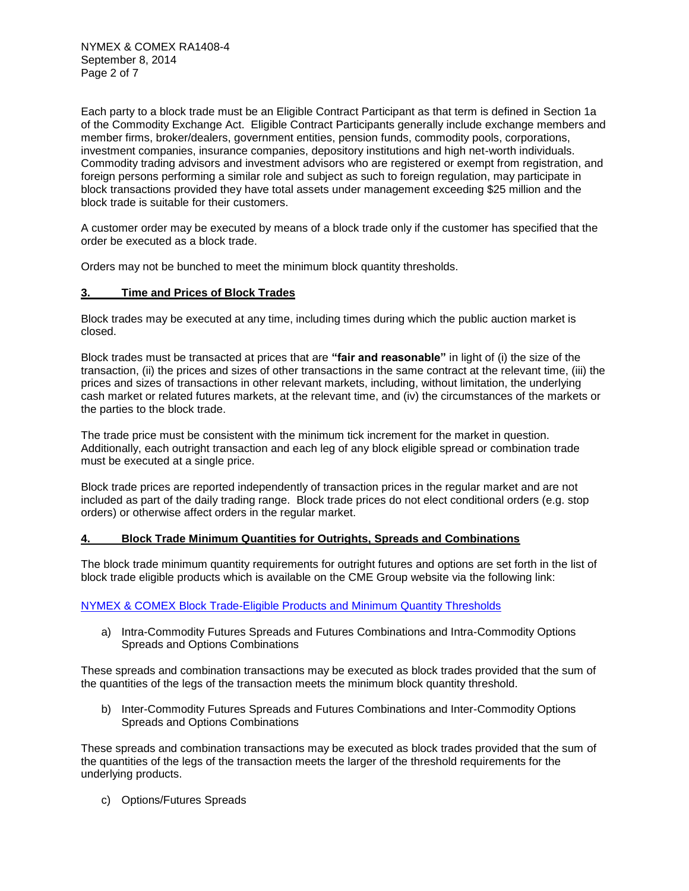Each party to a block trade must be an Eligible Contract Participant as that term is defined in Section 1a of the Commodity Exchange Act. Eligible Contract Participants generally include exchange members and member firms, broker/dealers, government entities, pension funds, commodity pools, corporations, investment companies, insurance companies, depository institutions and high net-worth individuals. Commodity trading advisors and investment advisors who are registered or exempt from registration, and foreign persons performing a similar role and subject as such to foreign regulation, may participate in block transactions provided they have total assets under management exceeding \$25 million and the block trade is suitable for their customers.

A customer order may be executed by means of a block trade only if the customer has specified that the order be executed as a block trade.

Orders may not be bunched to meet the minimum block quantity thresholds.

### **3. Time and Prices of Block Trades**

Block trades may be executed at any time, including times during which the public auction market is closed.

Block trades must be transacted at prices that are **"fair and reasonable"** in light of (i) the size of the transaction, (ii) the prices and sizes of other transactions in the same contract at the relevant time, (iii) the prices and sizes of transactions in other relevant markets, including, without limitation, the underlying cash market or related futures markets, at the relevant time, and (iv) the circumstances of the markets or the parties to the block trade.

The trade price must be consistent with the minimum tick increment for the market in question. Additionally, each outright transaction and each leg of any block eligible spread or combination trade must be executed at a single price.

Block trade prices are reported independently of transaction prices in the regular market and are not included as part of the daily trading range. Block trade prices do not elect conditional orders (e.g. stop orders) or otherwise affect orders in the regular market.

### **4. Block Trade Minimum Quantities for Outrights, Spreads and Combinations**

The block trade minimum quantity requirements for outright futures and options are set forth in the list of block trade eligible products which is available on the CME Group website via the following link:

# [NYMEX & COMEX Block Trade-Eligible Products and Minimum Quantity Thresholds](http://www.cmegroup.com/clearing/trading-practices/NYMEX-COMEXblock-trade.html)

a) Intra-Commodity Futures Spreads and Futures Combinations and Intra-Commodity Options Spreads and Options Combinations

These spreads and combination transactions may be executed as block trades provided that the sum of the quantities of the legs of the transaction meets the minimum block quantity threshold.

b) Inter-Commodity Futures Spreads and Futures Combinations and Inter-Commodity Options Spreads and Options Combinations

These spreads and combination transactions may be executed as block trades provided that the sum of the quantities of the legs of the transaction meets the larger of the threshold requirements for the underlying products.

c) Options/Futures Spreads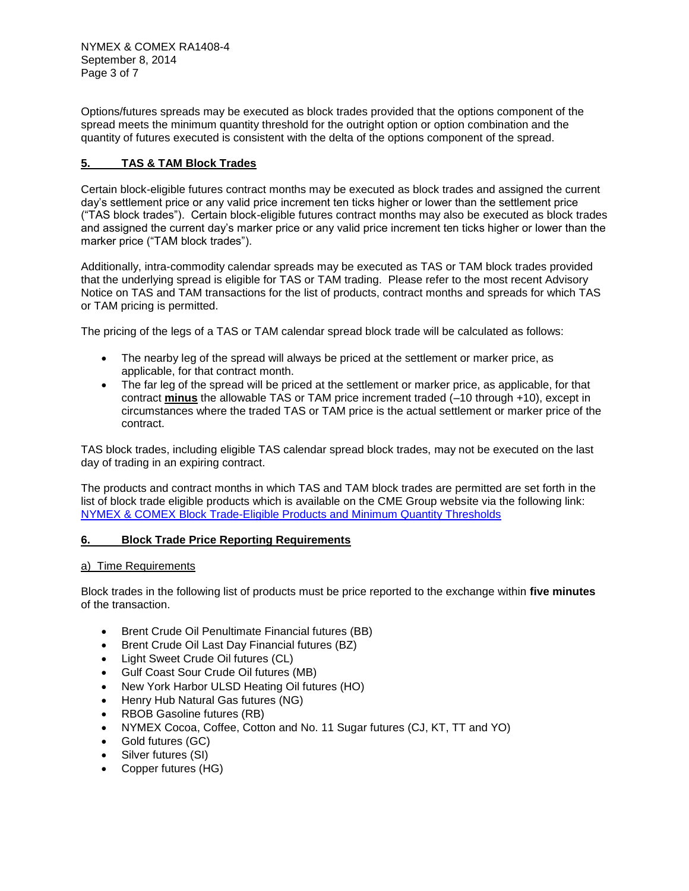Options/futures spreads may be executed as block trades provided that the options component of the spread meets the minimum quantity threshold for the outright option or option combination and the quantity of futures executed is consistent with the delta of the options component of the spread.

# **5. TAS & TAM Block Trades**

Certain block-eligible futures contract months may be executed as block trades and assigned the current day's settlement price or any valid price increment ten ticks higher or lower than the settlement price ("TAS block trades"). Certain block-eligible futures contract months may also be executed as block trades and assigned the current day's marker price or any valid price increment ten ticks higher or lower than the marker price ("TAM block trades").

Additionally, intra-commodity calendar spreads may be executed as TAS or TAM block trades provided that the underlying spread is eligible for TAS or TAM trading. Please refer to the most recent Advisory Notice on TAS and TAM transactions for the list of products, contract months and spreads for which TAS or TAM pricing is permitted.

The pricing of the legs of a TAS or TAM calendar spread block trade will be calculated as follows:

- The nearby leg of the spread will always be priced at the settlement or marker price, as applicable, for that contract month.
- The far leg of the spread will be priced at the settlement or marker price, as applicable, for that contract **minus** the allowable TAS or TAM price increment traded (–10 through +10), except in circumstances where the traded TAS or TAM price is the actual settlement or marker price of the contract.

TAS block trades, including eligible TAS calendar spread block trades, may not be executed on the last day of trading in an expiring contract.

The products and contract months in which TAS and TAM block trades are permitted are set forth in the list of block trade eligible products which is available on the CME Group website via the following link: [NYMEX & COMEX Block Trade-Eligible Products and Minimum Quantity Thresholds](http://www.cmegroup.com/clearing/trading-practices/NYMEX-COMEXblock-trade.html)

# **6. Block Trade Price Reporting Requirements**

### a) Time Requirements

Block trades in the following list of products must be price reported to the exchange within **five minutes** of the transaction.

- Brent Crude Oil Penultimate Financial futures (BB)
- Brent Crude Oil Last Day Financial futures (BZ)
- Light Sweet Crude Oil futures (CL)
- Gulf Coast Sour Crude Oil futures (MB)
- New York Harbor ULSD Heating Oil futures (HO)
- Henry Hub Natural Gas futures (NG)
- RBOB Gasoline futures (RB)
- NYMEX Cocoa, Coffee, Cotton and No. 11 Sugar futures (CJ, KT, TT and YO)
- Gold futures (GC)
- Silver futures (SI)
- Copper futures (HG)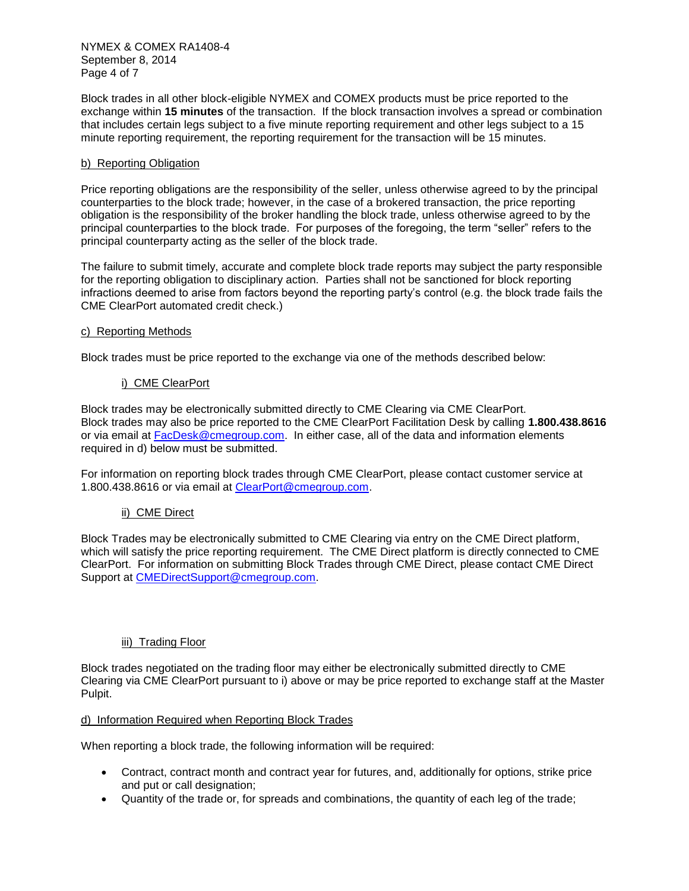NYMEX & COMEX RA1408-4 September 8, 2014 Page 4 of 7

Block trades in all other block-eligible NYMEX and COMEX products must be price reported to the exchange within **15 minutes** of the transaction. If the block transaction involves a spread or combination that includes certain legs subject to a five minute reporting requirement and other legs subject to a 15 minute reporting requirement, the reporting requirement for the transaction will be 15 minutes.

### b) Reporting Obligation

Price reporting obligations are the responsibility of the seller, unless otherwise agreed to by the principal counterparties to the block trade; however, in the case of a brokered transaction, the price reporting obligation is the responsibility of the broker handling the block trade, unless otherwise agreed to by the principal counterparties to the block trade. For purposes of the foregoing, the term "seller" refers to the principal counterparty acting as the seller of the block trade.

The failure to submit timely, accurate and complete block trade reports may subject the party responsible for the reporting obligation to disciplinary action. Parties shall not be sanctioned for block reporting infractions deemed to arise from factors beyond the reporting party's control (e.g. the block trade fails the CME ClearPort automated credit check.)

### c) Reporting Methods

Block trades must be price reported to the exchange via one of the methods described below:

### i) CME ClearPort

Block trades may be electronically submitted directly to CME Clearing via CME ClearPort. Block trades may also be price reported to the CME ClearPort Facilitation Desk by calling **1.800.438.8616**  or via email at [FacDesk@cmegroup.com.](mailto:FacDesk@cmegroup.com) In either case, all of the data and information elements required in d) below must be submitted.

For information on reporting block trades through CME ClearPort, please contact customer service at 1.800.438.8616 or via email at [ClearPort@cmegroup.com.](mailto:ClearPort@cmegroup.com)

# ii) CME Direct

Block Trades may be electronically submitted to CME Clearing via entry on the CME Direct platform, which will satisfy the price reporting requirement. The CME Direct platform is directly connected to CME ClearPort. For information on submitting Block Trades through CME Direct, please contact CME Direct Support at **CMEDirectSupport@cmegroup.com**.

# iii) Trading Floor

Block trades negotiated on the trading floor may either be electronically submitted directly to CME Clearing via CME ClearPort pursuant to i) above or may be price reported to exchange staff at the Master Pulpit.

### d) Information Required when Reporting Block Trades

When reporting a block trade, the following information will be required:

- Contract, contract month and contract year for futures, and, additionally for options, strike price and put or call designation;
- Quantity of the trade or, for spreads and combinations, the quantity of each leg of the trade;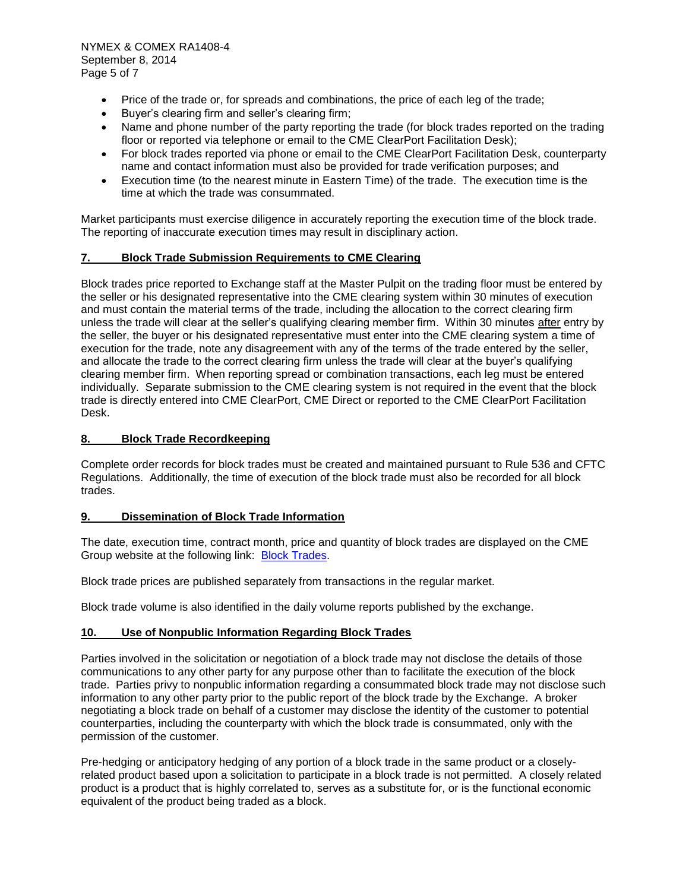- Price of the trade or, for spreads and combinations, the price of each leg of the trade;
- Buver's clearing firm and seller's clearing firm:
- Name and phone number of the party reporting the trade (for block trades reported on the trading floor or reported via telephone or email to the CME ClearPort Facilitation Desk);
- For block trades reported via phone or email to the CME ClearPort Facilitation Desk, counterparty name and contact information must also be provided for trade verification purposes; and
- Execution time (to the nearest minute in Eastern Time) of the trade. The execution time is the time at which the trade was consummated.

Market participants must exercise diligence in accurately reporting the execution time of the block trade. The reporting of inaccurate execution times may result in disciplinary action.

### **7. Block Trade Submission Requirements to CME Clearing**

Block trades price reported to Exchange staff at the Master Pulpit on the trading floor must be entered by the seller or his designated representative into the CME clearing system within 30 minutes of execution and must contain the material terms of the trade, including the allocation to the correct clearing firm unless the trade will clear at the seller's qualifying clearing member firm. Within 30 minutes after entry by the seller, the buyer or his designated representative must enter into the CME clearing system a time of execution for the trade, note any disagreement with any of the terms of the trade entered by the seller, and allocate the trade to the correct clearing firm unless the trade will clear at the buyer's qualifying clearing member firm. When reporting spread or combination transactions, each leg must be entered individually. Separate submission to the CME clearing system is not required in the event that the block trade is directly entered into CME ClearPort, CME Direct or reported to the CME ClearPort Facilitation Desk.

### **8. Block Trade Recordkeeping**

Complete order records for block trades must be created and maintained pursuant to Rule 536 and CFTC Regulations. Additionally, the time of execution of the block trade must also be recorded for all block trades.

### **9. Dissemination of Block Trade Information**

The date, execution time, contract month, price and quantity of block trades are displayed on the CME Group website at the following link: [Block Trades.](http://www.cmegroup.com/tools-information/blocktrades.html)

Block trade prices are published separately from transactions in the regular market.

Block trade volume is also identified in the daily volume reports published by the exchange.

### **10. Use of Nonpublic Information Regarding Block Trades**

Parties involved in the solicitation or negotiation of a block trade may not disclose the details of those communications to any other party for any purpose other than to facilitate the execution of the block trade. Parties privy to nonpublic information regarding a consummated block trade may not disclose such information to any other party prior to the public report of the block trade by the Exchange. A broker negotiating a block trade on behalf of a customer may disclose the identity of the customer to potential counterparties, including the counterparty with which the block trade is consummated, only with the permission of the customer.

Pre-hedging or anticipatory hedging of any portion of a block trade in the same product or a closelyrelated product based upon a solicitation to participate in a block trade is not permitted. A closely related product is a product that is highly correlated to, serves as a substitute for, or is the functional economic equivalent of the product being traded as a block.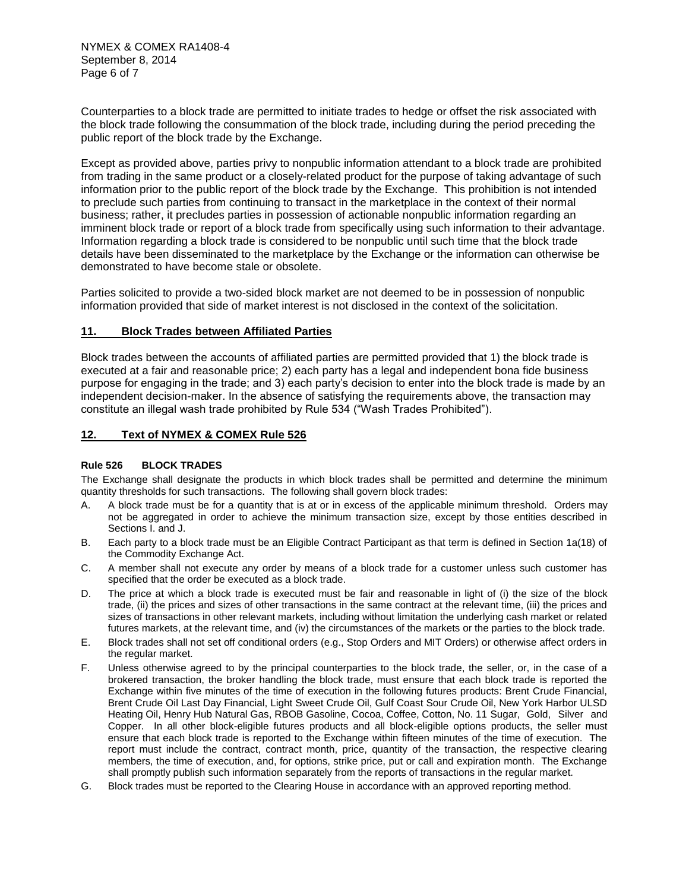NYMEX & COMEX RA1408-4 September 8, 2014 Page 6 of 7

Counterparties to a block trade are permitted to initiate trades to hedge or offset the risk associated with the block trade following the consummation of the block trade, including during the period preceding the public report of the block trade by the Exchange.

Except as provided above, parties privy to nonpublic information attendant to a block trade are prohibited from trading in the same product or a closely-related product for the purpose of taking advantage of such information prior to the public report of the block trade by the Exchange. This prohibition is not intended to preclude such parties from continuing to transact in the marketplace in the context of their normal business; rather, it precludes parties in possession of actionable nonpublic information regarding an imminent block trade or report of a block trade from specifically using such information to their advantage. Information regarding a block trade is considered to be nonpublic until such time that the block trade details have been disseminated to the marketplace by the Exchange or the information can otherwise be demonstrated to have become stale or obsolete.

Parties solicited to provide a two-sided block market are not deemed to be in possession of nonpublic information provided that side of market interest is not disclosed in the context of the solicitation.

### **11. Block Trades between Affiliated Parties**

Block trades between the accounts of affiliated parties are permitted provided that 1) the block trade is executed at a fair and reasonable price; 2) each party has a legal and independent bona fide business purpose for engaging in the trade; and 3) each party's decision to enter into the block trade is made by an independent decision-maker. In the absence of satisfying the requirements above, the transaction may constitute an illegal wash trade prohibited by Rule 534 ("Wash Trades Prohibited").

### **12. Text of NYMEX & COMEX Rule 526**

### **Rule 526 BLOCK TRADES**

The Exchange shall designate the products in which block trades shall be permitted and determine the minimum quantity thresholds for such transactions. The following shall govern block trades:

- A. A block trade must be for a quantity that is at or in excess of the applicable minimum threshold. Orders may not be aggregated in order to achieve the minimum transaction size, except by those entities described in Sections I. and J.
- B. Each party to a block trade must be an Eligible Contract Participant as that term is defined in Section 1a(18) of the Commodity Exchange Act.
- C. A member shall not execute any order by means of a block trade for a customer unless such customer has specified that the order be executed as a block trade.
- D. The price at which a block trade is executed must be fair and reasonable in light of (i) the size of the block trade, (ii) the prices and sizes of other transactions in the same contract at the relevant time, (iii) the prices and sizes of transactions in other relevant markets, including without limitation the underlying cash market or related futures markets, at the relevant time, and (iv) the circumstances of the markets or the parties to the block trade.
- E. Block trades shall not set off conditional orders (e.g., Stop Orders and MIT Orders) or otherwise affect orders in the regular market.
- F. Unless otherwise agreed to by the principal counterparties to the block trade, the seller, or, in the case of a brokered transaction, the broker handling the block trade, must ensure that each block trade is reported the Exchange within five minutes of the time of execution in the following futures products: Brent Crude Financial, Brent Crude Oil Last Day Financial, Light Sweet Crude Oil, Gulf Coast Sour Crude Oil, New York Harbor ULSD Heating Oil, Henry Hub Natural Gas, RBOB Gasoline, Cocoa, Coffee, Cotton, No. 11 Sugar, Gold, Silver and Copper. In all other block-eligible futures products and all block-eligible options products, the seller must ensure that each block trade is reported to the Exchange within fifteen minutes of the time of execution. The report must include the contract, contract month, price, quantity of the transaction, the respective clearing members, the time of execution, and, for options, strike price, put or call and expiration month. The Exchange shall promptly publish such information separately from the reports of transactions in the regular market.
- G. Block trades must be reported to the Clearing House in accordance with an approved reporting method.